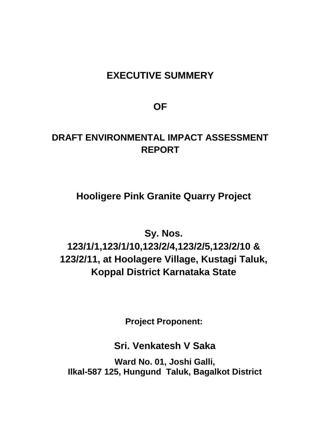# **EXECUTIVE SUMMERY**

**OF** 

# **DRAFT ENVIRONMENTAL IMPACT ASSESSMENT REPORT**

**Hooligere Pink Granite Quarry Project**

**Sy. Nos. 123/1/1,123/1/10,123/2/4,123/2/5,123/2/10 & 123/2/11, at Hoolagere Village, Kustagi Taluk, Koppal District Karnataka State**

**Project Proponent:**

**Sri. Venkatesh V Saka**

**Ward No. 01, Joshi Galli, Ilkal-587 125, Hungund Taluk, Bagalkot District**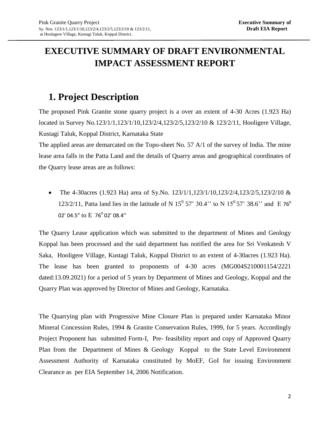# **EXECUTIVE SUMMARY OF DRAFT ENVIRONMENTAL IMPACT ASSESSMENT REPORT**

# **1. Project Description**

The proposed Pink Granite stone quarry project is a over an extent of 4-30 Acres (1.923 Ha) located in Survey No.123/1/1,123/1/10,123/2/4,123/2/5,123/2/10 & 123/2/11, Hooligere Village, Kustagi Taluk, Koppal District, Karnataka State

The applied areas are demarcated on the Topo-sheet No. 57 A/1 of the survey of India. The mine lease area falls in the Patta Land and the details of Quarry areas and geographical coordinates of the Quarry lease areas are as follows:

• The 4-30 acres (1.923 Ha) area of Sy.No.  $123/1/1,123/1/10,123/2/4,123/2/5,123/2/10$  & 123/2/11, Patta land lies in the latitude of N 15<sup>0</sup> 57' 30.4" to N 15<sup>0</sup> 57' 38.6" and E 76<sup>0</sup> 02' 04.5" to  $E$  76 $^{\rm 0}$  02' 08.4''

The Quarry Lease application which was submitted to the department of Mines and Geology Koppal has been processed and the said department has notified the area for Sri Venkatesh V Saka, Hooligere Village, Kustagi Taluk, Koppal District to an extent of 4-30acres (1.923 Ha). The lease has been granted to proponents of 4-30 acres (MG004S210001154/2221 dated:13.09.2021) for a period of 5 years by Department of Mines and Geology, Koppal and the Quarry Plan was approved by Director of Mines and Geology, Karnataka.

The Quarrying plan with Progressive Mine Closure Plan is prepared under Karnataka Minor Mineral Concession Rules, 1994 & Granite Conservation Rules, 1999, for 5 years. Accordingly Project Proponent has submitted Form-I, Pre- feasibility report and copy of Approved Quarry Plan from the Department of Mines & Geology Koppal to the State Level Environment Assessment Authority of Karnataka constituted by MoEF, GoI for issuing Environment Clearance as per EIA September 14, 2006 Notification.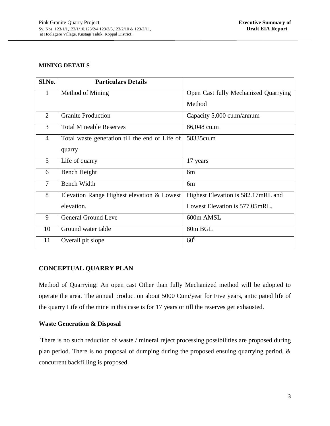#### **MINING DETAILS**

| Sl.No.         | <b>Particulars Details</b>                     |                                      |
|----------------|------------------------------------------------|--------------------------------------|
| $\mathbf{1}$   | Method of Mining                               | Open Cast fully Mechanized Quarrying |
|                |                                                | Method                               |
| $\overline{2}$ | <b>Granite Production</b>                      | Capacity 5,000 cu.m/annum            |
| 3              | <b>Total Mineable Reserves</b>                 | 86,048 cu.m                          |
| $\overline{4}$ | Total waste generation till the end of Life of | 58335cu.m                            |
|                | quarry                                         |                                      |
| 5              | Life of quarry                                 | 17 years                             |
| 6              | Bench Height                                   | 6m                                   |
| $\overline{7}$ | <b>Bench Width</b>                             | 6m                                   |
| 8              | Elevation Range Highest elevation & Lowest     | Highest Elevation is 582.17mRL and   |
|                | elevation.                                     | Lowest Elevation is 577.05mRL.       |
| 9              | <b>General Ground Leve</b>                     | 600m AMSL                            |
| 10             | Ground water table                             | 80m BGL                              |
| 11             | Overall pit slope                              | $60^0$                               |

## **CONCEPTUAL QUARRY PLAN**

Method of Quarrying: An open cast Other than fully Mechanized method will be adopted to operate the area. The annual production about 5000 Cum/year for Five years, anticipated life of the quarry Life of the mine in this case is for 17 years or till the reserves get exhausted.

## **Waste Generation & Disposal**

There is no such reduction of waste / mineral reject processing possibilities are proposed during plan period. There is no proposal of dumping during the proposed ensuing quarrying period, & concurrent backfilling is proposed.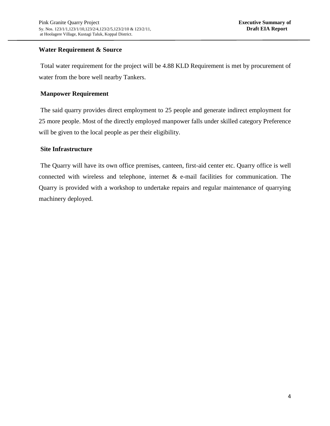## **Water Requirement & Source**

Total water requirement for the project will be 4.88 KLD Requirement is met by procurement of water from the bore well nearby Tankers.

## **Manpower Requirement**

The said quarry provides direct employment to 25 people and generate indirect employment for 25 more people. Most of the directly employed manpower falls under skilled category Preference will be given to the local people as per their eligibility.

## **Site Infrastructure**

The Quarry will have its own office premises, canteen, first-aid center etc. Quarry office is well connected with wireless and telephone, internet  $\&$  e-mail facilities for communication. The Quarry is provided with a workshop to undertake repairs and regular maintenance of quarrying machinery deployed.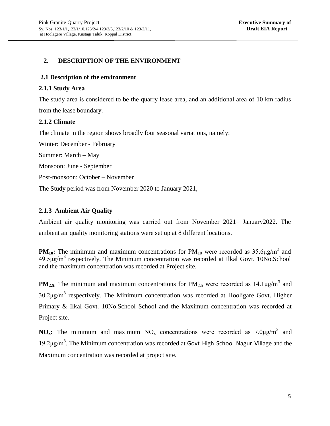## **2. DESCRIPTION OF THE ENVIRONMENT**

#### **2.1 Description of the environment**

#### **2.1.1 Study Area**

The study area is considered to be the quarry lease area, and an additional area of 10 km radius from the lease boundary.

#### **2.1.2 Climate**

The climate in the region shows broadly four seasonal variations, namely:

Winter: December - February

Summer: March – May

Monsoon: June - September

Post-monsoon: October – November

The Study period was from November 2020 to January 2021,

## **2.1.3 Ambient Air Quality**

Ambient air quality monitoring was carried out from November 2021– January2022. The ambient air quality monitoring stations were set up at 8 different locations.

**PM**<sub>10</sub>: The minimum and maximum concentrations for  $PM_{10}$  were recorded as  $35.6\mu g/m^3$  and  $49.5 \mu g/m<sup>3</sup>$  respectively. The Minimum concentration was recorded at Ilkal Govt. 10No.School and the maximum concentration was recorded at Project site.

**PM<sub>2.5:</sub>** The minimum and maximum concentrations for  $PM_{2.5}$  were recorded as  $14.1\mu\text{g/m}^3$  and  $30.2 \mu g/m^3$  respectively. The Minimum concentration was recorded at Hooligare Govt. Higher Primary & Ilkal Govt. 10No.School School and the Maximum concentration was recorded at Project site.

**NO<sub>x</sub>**: The minimum and maximum  $NO_x$  concentrations were recorded as  $7.0\mu g/m^3$  and 19.2μg/m<sup>3</sup>. The Minimum concentration was recorded at Govt High School Nagur Village and the Maximum concentration was recorded at project site.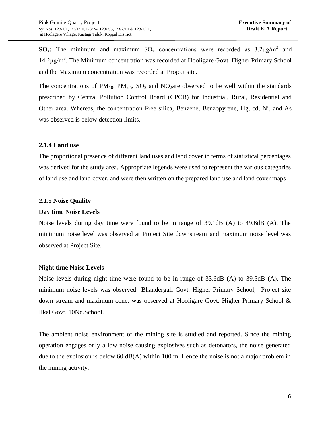**SO<sub>x</sub>**: The minimum and maximum  $SO_x$  concentrations were recorded as  $3.2\mu g/m^3$  and 14.2μg/m<sup>3</sup>. The Minimum concentration was recorded at Hooligare Govt. Higher Primary School and the Maximum concentration was recorded at Project site.

The concentrations of  $PM_{10}$ ,  $PM_{2.5}$ ,  $SO_2$  and  $NO_2$  are observed to be well within the standards prescribed by Central Pollution Control Board (CPCB) for Industrial, Rural, Residential and Other area. Whereas, the concentration Free silica, Benzene, Benzopyrene, Hg, cd, Ni, and As was observed is below detection limits.

## **2.1.4 Land use**

The proportional presence of different land uses and land cover in terms of statistical percentages was derived for the study area. Appropriate legends were used to represent the various categories of land use and land cover, and were then written on the prepared land use and land cover maps

#### **2.1.5 Noise Quality**

#### **Day time Noise Levels**

Noise levels during day time were found to be in range of 39.1dB (A) to 49.6dB (A). The minimum noise level was observed at Project Site downstream and maximum noise level was observed at Project Site.

#### **Night time Noise Levels**

Noise levels during night time were found to be in range of 33.6dB (A) to 39.5dB (A). The minimum noise levels was observed Bhandergali Govt. Higher Primary School, Project site down stream and maximum conc. was observed at Hooligare Govt. Higher Primary School & Ilkal Govt. 10No.School.

The ambient noise environment of the mining site is studied and reported. Since the mining operation engages only a low noise causing explosives such as detonators, the noise generated due to the explosion is below 60 dB(A) within 100 m. Hence the noise is not a major problem in the mining activity.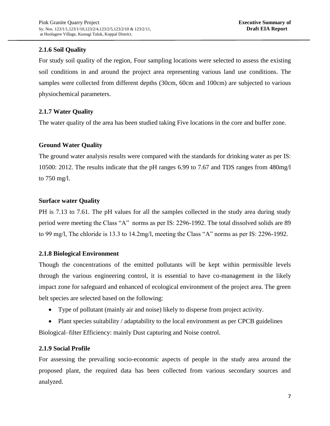## **2.1.6 Soil Quality**

For study soil quality of the region, Four sampling locations were selected to assess the existing soil conditions in and around the project area representing various land use conditions. The samples were collected from different depths (30cm, 60cm and 100cm) are subjected to various physiochemical parameters.

## **2.1.7 Water Quality**

The water quality of the area has been studied taking Five locations in the core and buffer zone.

## **Ground Water Quality**

The ground water analysis results were compared with the standards for drinking water as per IS: 10500: 2012. The results indicate that the pH ranges 6.99 to 7.67 and TDS ranges from 480mg/l to 750 mg/l.

## **Surface water Quality**

PH is 7.13 to 7.61. The pH values for all the samples collected in the study area during study period were meeting the Class "A" norms as per IS: 2296-1992. The total dissolved solids are 89 to 99 mg/l, The chloride is 13.3 to 14.2mg/l, meeting the Class "A" norms as per IS: 2296-1992.

## **2.1.8 Biological Environment**

Though the concentrations of the emitted pollutants will be kept within permissible levels through the various engineering control, it is essential to have co-management in the likely impact zone for safeguard and enhanced of ecological environment of the project area. The green belt species are selected based on the following:

Type of pollutant (mainly air and noise) likely to disperse from project activity.

• Plant species suitability / adaptability to the local environment as per CPCB guidelines Biological–filter Efficiency: mainly Dust capturing and Noise control.

## **2.1.9 Social Profile**

For assessing the prevailing socio-economic aspects of people in the study area around the proposed plant, the required data has been collected from various secondary sources and analyzed.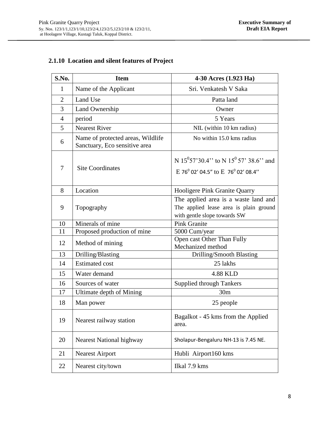## **2.1.10 Location and silent features of Project**

| S.No.          | <b>Item</b>                                                        | 4-30 Acres (1.923 Ha)                                                                                           |  |
|----------------|--------------------------------------------------------------------|-----------------------------------------------------------------------------------------------------------------|--|
| $\mathbf{1}$   | Name of the Applicant                                              | Sri. Venkatesh V Saka                                                                                           |  |
| $\overline{2}$ | Land Use                                                           | Patta land                                                                                                      |  |
| 3              | Land Ownership                                                     | Owner                                                                                                           |  |
| $\overline{4}$ | period                                                             | 5 Years                                                                                                         |  |
| 5              | <b>Nearest River</b>                                               | NIL (within 10 km radius)                                                                                       |  |
| 6              | Name of protected areas, Wildlife<br>Sanctuary, Eco sensitive area | No within 15.0 kms radius                                                                                       |  |
| 7              | <b>Site Coordinates</b>                                            | N 15 <sup>0</sup> 57'30.4" to N 15 <sup>0</sup> 57' 38.6" and<br>E 76 $^{0}$ 02' 04.5" to E 76 $^{0}$ 02' 08.4" |  |
| 8              | Location                                                           | Hooligere Pink Granite Quarry                                                                                   |  |
| 9              | Topography                                                         | The applied area is a waste land and<br>The applied lease area is plain ground<br>with gentle slope towards SW  |  |
| 10             | Minerals of mine                                                   | <b>Pink Granite</b>                                                                                             |  |
| 11             | Proposed production of mine                                        | 5000 Cum/year                                                                                                   |  |
| 12             | Method of mining                                                   | Open cast Other Than Fully<br>Mechanized method                                                                 |  |
| 13             | Drilling/Blasting                                                  | Drilling/Smooth Blasting                                                                                        |  |
| 14             | <b>Estimated cost</b>                                              | 25 lakhs                                                                                                        |  |
| 15             | Water demand                                                       | 4.88 KLD                                                                                                        |  |
| 16             | Sources of water                                                   | <b>Supplied through Tankers</b>                                                                                 |  |
| 17             | Ultimate depth of Mining                                           | 30 <sub>m</sub>                                                                                                 |  |
| 18             | Man power                                                          | 25 people                                                                                                       |  |
| 19             | Nearest railway station                                            | Bagalkot - 45 kms from the Applied<br>area.                                                                     |  |
| 20             | <b>Nearest National highway</b>                                    | Sholapur-Bengaluru NH-13 is 7.45 NE.                                                                            |  |
| 21             | <b>Nearest Airport</b>                                             | Hubli Airport160 kms                                                                                            |  |
| 22             | Nearest city/town                                                  | Ilkal 7.9 kms                                                                                                   |  |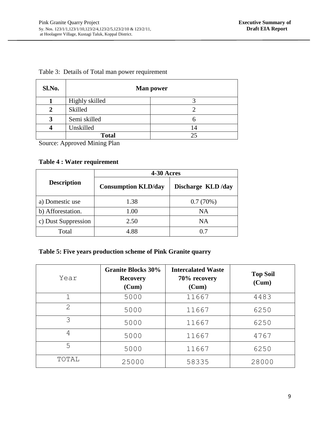|  |  | Table 3: Details of Total man power requirement |  |  |
|--|--|-------------------------------------------------|--|--|
|--|--|-------------------------------------------------|--|--|

| Sl.No.            | <b>Man power</b>            |    |
|-------------------|-----------------------------|----|
|                   | Highly skilled              |    |
|                   | Skilled                     |    |
| 3                 | Semi skilled                | h  |
|                   | Unskilled                   | 14 |
| $\sim$<br>$\cdot$ | <b>Total</b><br>.<br>$\sim$ | 25 |

Source: Approved Mining Plan

## **Table 4 : Water requirement**

|                     | 4-30 Acres                 |                   |  |
|---------------------|----------------------------|-------------------|--|
| <b>Description</b>  | <b>Consumption KLD/day</b> | Discharge KLD/day |  |
| a) Domestic use     | 1.38                       | 0.7(70%)          |  |
| b) Afforestation.   | 1.00                       | <b>NA</b>         |  |
| c) Dust Suppression | 2.50                       | NA                |  |
| Total               | 4.88                       | 0.7               |  |

## **Table 5: Five years production scheme of Pink Granite quarry**

| Year                        | <b>Granite Blocks 30%</b><br><b>Recovery</b><br>(Cum) | <b>Intercalated Waste</b><br>70% recovery<br>(Cum) | <b>Top Soil</b><br>(Cum) |
|-----------------------------|-------------------------------------------------------|----------------------------------------------------|--------------------------|
| $\mathbf 1$                 | 5000                                                  | 11667                                              | 4483                     |
| $\mathcal{D}_{\mathcal{A}}$ | 5000                                                  | 11667                                              | 6250                     |
| 3                           | 5000                                                  | 11667                                              | 6250                     |
| 4                           | 5000                                                  | 11667                                              | 4767                     |
| 5                           | 5000                                                  | 11667                                              | 6250                     |
| TOTAL                       | 25000                                                 | 58335                                              | 28000                    |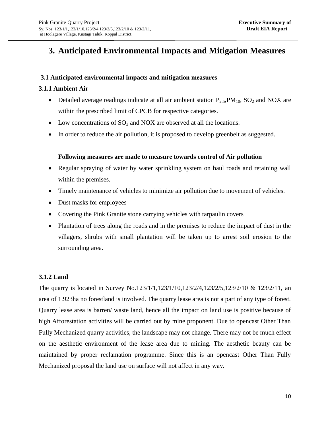## **3. Anticipated Environmental Impacts and Mitigation Measures**

## **3.1 Anticipated environmental impacts and mitigation measures**

## **3.1.1 Ambient Air**

- Detailed average readings indicate at all air ambient station  $P_{2.5}PM_{10}$ ,  $SO_2$  and NOX are within the prescribed limit of CPCB for respective categories.
- Low concentrations of  $SO_2$  and NOX are observed at all the locations.
- In order to reduce the air pollution, it is proposed to develop greenbelt as suggested.

## **Following measures are made to measure towards control of Air pollution**

- Regular spraying of water by water sprinkling system on haul roads and retaining wall within the premises.
- Timely maintenance of vehicles to minimize air pollution due to movement of vehicles.
- Dust masks for employees
- Covering the Pink Granite stone carrying vehicles with tarpaulin covers
- Plantation of trees along the roads and in the premises to reduce the impact of dust in the villagers, shrubs with small plantation will be taken up to arrest soil erosion to the surrounding area.

## **3.1.2 Land**

The quarry is located in Survey No.123/1/1,123/1/10,123/2/4,123/2/5,123/2/10 & 123/2/11, an area of 1.923ha no forestland is involved. The quarry lease area is not a part of any type of forest. Quarry lease area is barren/ waste land, hence all the impact on land use is positive because of high Afforestation activities will be carried out by mine proponent. Due to opencast Other Than Fully Mechanized quarry activities, the landscape may not change. There may not be much effect on the aesthetic environment of the lease area due to mining. The aesthetic beauty can be maintained by proper reclamation programme. Since this is an opencast Other Than Fully Mechanized proposal the land use on surface will not affect in any way.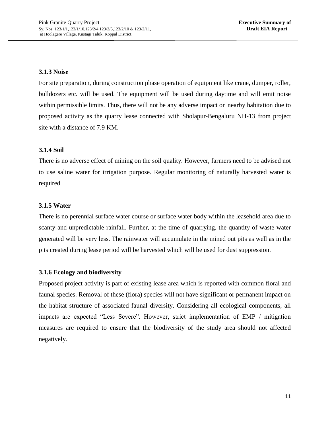## **3.1.3 Noise**

For site preparation, during construction phase operation of equipment like crane, dumper, roller, bulldozers etc. will be used. The equipment will be used during daytime and will emit noise within permissible limits. Thus, there will not be any adverse impact on nearby habitation due to proposed activity as the quarry lease connected with Sholapur-Bengaluru NH-13 from project site with a distance of 7.9 KM.

## **3.1.4 Soil**

There is no adverse effect of mining on the soil quality. However, farmers need to be advised not to use saline water for irrigation purpose. Regular monitoring of naturally harvested water is required

## **3.1.5 Water**

There is no perennial surface water course or surface water body within the leasehold area due to scanty and unpredictable rainfall. Further, at the time of quarrying, the quantity of waste water generated will be very less. The rainwater will accumulate in the mined out pits as well as in the pits created during lease period will be harvested which will be used for dust suppression.

## **3.1.6 Ecology and biodiversity**

Proposed project activity is part of existing lease area which is reported with common floral and faunal species. Removal of these (flora) species will not have significant or permanent impact on the habitat structure of associated faunal diversity. Considering all ecological components, all impacts are expected "Less Severe". However, strict implementation of EMP / mitigation measures are required to ensure that the biodiversity of the study area should not affected negatively.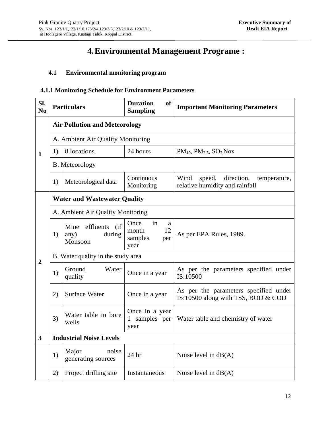## **4.Environmental Management Programe :**

## **4.1 Environmental monitoring program**

## **4.1.1 Monitoring Schedule for Environment Parameters**

| Sl.<br>N <sub>0</sub> | <b>Particulars</b>                   |                                                          | <b>Duration</b><br><b>of</b><br><b>Sampling</b>          | <b>Important Monitoring Parameters</b>                                         |  |  |
|-----------------------|--------------------------------------|----------------------------------------------------------|----------------------------------------------------------|--------------------------------------------------------------------------------|--|--|
|                       | <b>Air Pollution and Meteorology</b> |                                                          |                                                          |                                                                                |  |  |
|                       |                                      | A. Ambient Air Quality Monitoring                        |                                                          |                                                                                |  |  |
| $\mathbf{1}$          | 1)                                   | 8 locations                                              | 24 hours                                                 | $PM_{10}$ , $PM_{2.5}$ , $SO_2$ Nox                                            |  |  |
|                       |                                      | <b>B.</b> Meteorology                                    |                                                          |                                                                                |  |  |
|                       | 1)                                   | Meteorological data                                      | Continuous<br>Monitoring                                 | direction,<br>Wind<br>speed,<br>temperature,<br>relative humidity and rainfall |  |  |
|                       |                                      | <b>Water and Wastewater Quality</b>                      |                                                          |                                                                                |  |  |
|                       | A. Ambient Air Quality Monitoring    |                                                          |                                                          |                                                                                |  |  |
|                       | 1)                                   | $($ if<br>Mine<br>effluents<br>any)<br>during<br>Monsoon | Once<br>in<br>a<br>12<br>month<br>samples<br>per<br>year | As per EPA Rules, 1989.                                                        |  |  |
| $\overline{2}$        |                                      | B. Water quality in the study area                       |                                                          |                                                                                |  |  |
|                       | 1)                                   | Ground<br>Water<br>quality                               | Once in a year                                           | As per the parameters specified under<br>IS:10500                              |  |  |
|                       | 2)                                   | <b>Surface Water</b>                                     | Once in a year                                           | As per the parameters specified under<br>IS:10500 along with TSS, BOD & COD    |  |  |
|                       | 3)                                   | Water table in bore<br>wells                             | Once in a year<br>samples per<br>$\mathbf{1}$<br>year    | Water table and chemistry of water                                             |  |  |
| $\mathbf{3}$          | <b>Industrial Noise Levels</b>       |                                                          |                                                          |                                                                                |  |  |
|                       | 1)                                   | Major<br>noise<br>generating sources                     | 24 hr                                                    | Noise level in $dB(A)$                                                         |  |  |
|                       | 2)                                   | Project drilling site                                    | Instantaneous                                            | Noise level in $dB(A)$                                                         |  |  |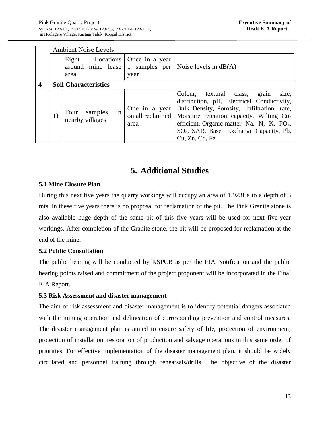|                         |                             | <b>Ambient Noise Levels</b>                                   |                                           |                                                                                                                                                                                                                                                                                                                        |
|-------------------------|-----------------------------|---------------------------------------------------------------|-------------------------------------------|------------------------------------------------------------------------------------------------------------------------------------------------------------------------------------------------------------------------------------------------------------------------------------------------------------------------|
|                         |                             | Eight<br>Locations<br>around mine lease 1 samples per<br>area | Once in a year<br>year                    | Noise levels in $dB(A)$                                                                                                                                                                                                                                                                                                |
| $\overline{\mathbf{4}}$ | <b>Soil Characteristics</b> |                                                               |                                           |                                                                                                                                                                                                                                                                                                                        |
|                         | 1)                          | samples<br>Four<br><sub>in</sub><br>nearby villages           | One in a year<br>on all reclaimed<br>area | Colour,<br>textural class,<br>grain<br>size,<br>distribution, pH, Electrical Conductivity,<br>Bulk Density, Porosity, Infiltration rate,<br>Moisture retention capacity, Wilting Co-<br>efficient, Organic matter Na, N, K, PO <sub>4</sub> ,<br>SO <sub>4</sub> , SAR, Base Exchange Capacity, Pb,<br>Cu, Zn, Cd, Fe. |

## **5. Additional Studies**

## **5.1 Mine Closure Plan**

During this next five years the quarry workings will occupy an area of 1.923Ha to a depth of 3 mts. In these five years there is no proposal for reclamation of the pit. The Pink Granite stone is also available huge depth of the same pit of this five years will be used for next five-year workings. After completion of the Granite stone, the pit will be proposed for reclamation at the end of the mine.

## **5.2 Public Consultation**

The public hearing will be conducted by KSPCB as per the EIA Notification and the public hearing points raised and commitment of the project proponent will be incorporated in the Final EIA Report.

## **5.3 Risk Assessment and disaster management**

The aim of risk assessment and disaster management is to identify potential dangers associated with the mining operation and delineation of corresponding prevention and control measures. The disaster management plan is aimed to ensure safety of life, protection of environment, protection of installation, restoration of production and salvage operations in this same order of priorities. For effective implementation of the disaster management plan, it should be widely circulated and personnel training through rehearsals/drills. The objective of the disaster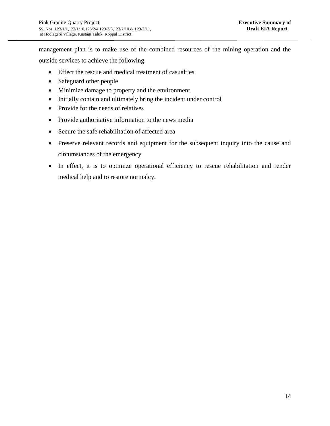management plan is to make use of the combined resources of the mining operation and the outside services to achieve the following:

- Effect the rescue and medical treatment of casualties
- Safeguard other people
- Minimize damage to property and the environment
- Initially contain and ultimately bring the incident under control
- Provide for the needs of relatives
- Provide authoritative information to the news media
- Secure the safe rehabilitation of affected area
- Preserve relevant records and equipment for the subsequent inquiry into the cause and circumstances of the emergency
- In effect, it is to optimize operational efficiency to rescue rehabilitation and render medical help and to restore normalcy.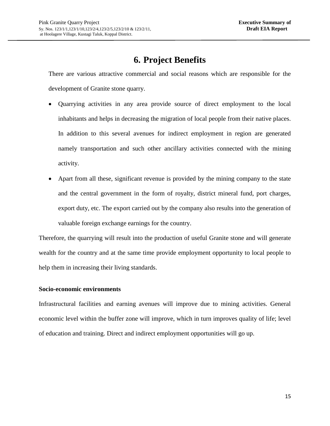# **6. Project Benefits**

There are various attractive commercial and social reasons which are responsible for the development of Granite stone quarry.

- Quarrying activities in any area provide source of direct employment to the local inhabitants and helps in decreasing the migration of local people from their native places. In addition to this several avenues for indirect employment in region are generated namely transportation and such other ancillary activities connected with the mining activity.
- Apart from all these, significant revenue is provided by the mining company to the state and the central government in the form of royalty, district mineral fund, port charges, export duty, etc. The export carried out by the company also results into the generation of valuable foreign exchange earnings for the country.

Therefore, the quarrying will result into the production of useful Granite stone and will generate wealth for the country and at the same time provide employment opportunity to local people to help them in increasing their living standards.

## **Socio-economic environments**

Infrastructural facilities and earning avenues will improve due to mining activities. General economic level within the buffer zone will improve, which in turn improves quality of life; level of education and training. Direct and indirect employment opportunities will go up.